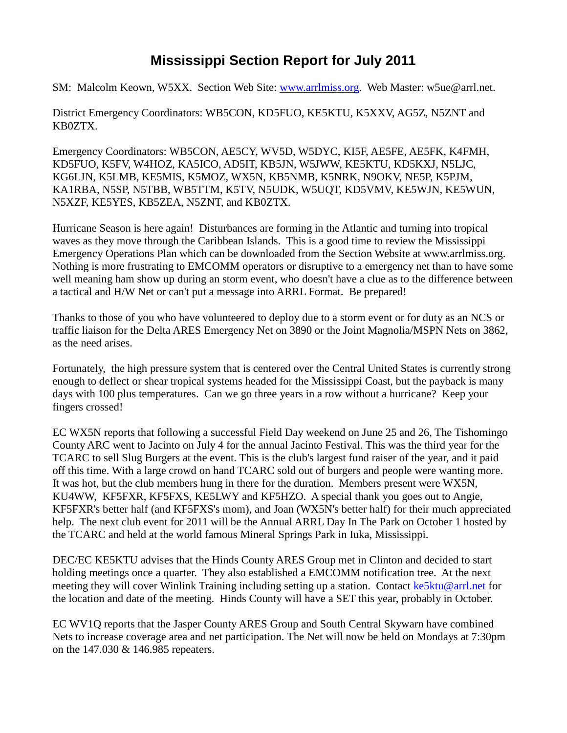## **Mississippi Section Report for July 2011**

SM: Malcolm Keown, W5XX. Section Web Site: [www.arrlmiss.org.](http://www.arrlmiss.org/) Web Master: w5ue@arrl.net.

District Emergency Coordinators: WB5CON, KD5FUO, KE5KTU, K5XXV, AG5Z, N5ZNT and KB0ZTX.

Emergency Coordinators: WB5CON, AE5CY, WV5D, W5DYC, KI5F, AE5FE, AE5FK, K4FMH, KD5FUO, K5FV, W4HOZ, KA5ICO, AD5IT, KB5JN, W5JWW, KE5KTU, KD5KXJ, N5LJC, KG6LJN, K5LMB, KE5MIS, K5MOZ, WX5N, KB5NMB, K5NRK, N9OKV, NE5P, K5PJM, KA1RBA, N5SP, N5TBB, WB5TTM, K5TV, N5UDK, W5UQT, KD5VMV, KE5WJN, KE5WUN, N5XZF, KE5YES, KB5ZEA, N5ZNT, and KB0ZTX.

Hurricane Season is here again! Disturbances are forming in the Atlantic and turning into tropical waves as they move through the Caribbean Islands. This is a good time to review the Mississippi Emergency Operations Plan which can be downloaded from the Section Website at www.arrlmiss.org. Nothing is more frustrating to EMCOMM operators or disruptive to a emergency net than to have some well meaning ham show up during an storm event, who doesn't have a clue as to the difference between a tactical and H/W Net or can't put a message into ARRL Format. Be prepared!

Thanks to those of you who have volunteered to deploy due to a storm event or for duty as an NCS or traffic liaison for the Delta ARES Emergency Net on 3890 or the Joint Magnolia/MSPN Nets on 3862, as the need arises.

Fortunately, the high pressure system that is centered over the Central United States is currently strong enough to deflect or shear tropical systems headed for the Mississippi Coast, but the payback is many days with 100 plus temperatures. Can we go three years in a row without a hurricane? Keep your fingers crossed!

EC WX5N reports that following a successful Field Day weekend on June 25 and 26, The Tishomingo County ARC went to Jacinto on July 4 for the annual Jacinto Festival. This was the third year for the TCARC to sell Slug Burgers at the event. This is the club's largest fund raiser of the year, and it paid off this time. With a large crowd on hand TCARC sold out of burgers and people were wanting more. It was hot, but the club members hung in there for the duration. Members present were WX5N, KU4WW, KF5FXR, KF5FXS, KE5LWY and KF5HZO. A special thank you goes out to Angie, KF5FXR's better half (and KF5FXS's mom), and Joan (WX5N's better half) for their much appreciated help. The next club event for 2011 will be the Annual ARRL Day In The Park on October 1 hosted by the TCARC and held at the world famous Mineral Springs Park in Iuka, Mississippi.

DEC/EC KE5KTU advises that the Hinds County ARES Group met in Clinton and decided to start holding meetings once a quarter. They also established a EMCOMM notification tree. At the next meeting they will cover Winlink Training including setting up a station. Contact [ke5ktu@arrl.net](mailto:ke5ktu@arrl.net) for the location and date of the meeting. Hinds County will have a SET this year, probably in October.

EC WV1Q reports that the Jasper County ARES Group and South Central Skywarn have combined Nets to increase coverage area and net participation. The Net will now be held on Mondays at 7:30pm on the 147.030 & 146.985 repeaters.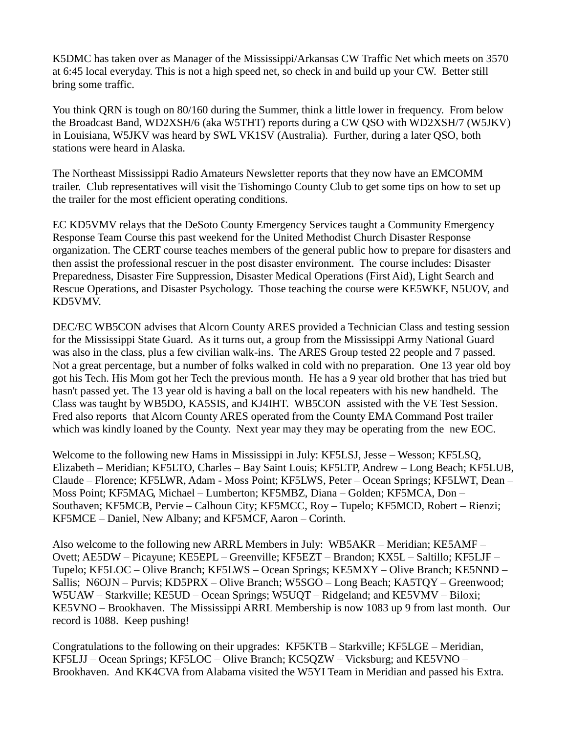K5DMC has taken over as Manager of the Mississippi/Arkansas CW Traffic Net which meets on 3570 at 6:45 local everyday. This is not a high speed net, so check in and build up your CW. Better still bring some traffic.

You think QRN is tough on 80/160 during the Summer, think a little lower in frequency. From below the Broadcast Band, WD2XSH/6 (aka W5THT) reports during a CW QSO with WD2XSH/7 (W5JKV) in Louisiana, W5JKV was heard by SWL VK1SV (Australia). Further, during a later QSO, both stations were heard in Alaska.

The Northeast Mississippi Radio Amateurs Newsletter reports that they now have an EMCOMM trailer. Club representatives will visit the Tishomingo County Club to get some tips on how to set up the trailer for the most efficient operating conditions.

EC KD5VMV relays that the DeSoto County Emergency Services taught a Community Emergency Response Team Course this past weekend for the United Methodist Church Disaster Response organization. The CERT course teaches members of the general public how to prepare for disasters and then assist the professional rescuer in the post disaster environment. The course includes: Disaster Preparedness, Disaster Fire Suppression, Disaster Medical Operations (First Aid), Light Search and Rescue Operations, and Disaster Psychology. Those teaching the course were KE5WKF, N5UOV, and KD5VMV.

DEC/EC WB5CON advises that Alcorn County ARES provided a Technician Class and testing session for the Mississippi State Guard. As it turns out, a group from the Mississippi Army National Guard was also in the class, plus a few civilian walk-ins. The ARES Group tested 22 people and 7 passed. Not a great percentage, but a number of folks walked in cold with no preparation. One 13 year old boy got his Tech. His Mom got her Tech the previous month. He has a 9 year old brother that has tried but hasn't passed yet. The 13 year old is having a ball on the local repeaters with his new handheld. The Class was taught by WB5DO, KA5SIS, and KJ4IHT. WB5CON assisted with the VE Test Session. Fred also reports that Alcorn County ARES operated from the County EMA Command Post trailer which was kindly loaned by the County. Next year may they may be operating from the new EOC.

Welcome to the following new Hams in Mississippi in July: KF5LSJ, Jesse – Wesson; KF5LSQ, Elizabeth – Meridian; KF5LTO, Charles – Bay Saint Louis; KF5LTP, Andrew – Long Beach; KF5LUB, Claude – Florence; KF5LWR, Adam - Moss Point; KF5LWS, Peter – Ocean Springs; KF5LWT, Dean – Moss Point; KF5MAG, Michael – Lumberton; KF5MBZ, Diana – Golden; KF5MCA, Don – Southaven; KF5MCB, Pervie – Calhoun City; KF5MCC, Roy – Tupelo; KF5MCD, Robert – Rienzi; KF5MCE – Daniel, New Albany; and KF5MCF, Aaron – Corinth.

Also welcome to the following new ARRL Members in July: WB5AKR – Meridian; KE5AMF – Ovett; AE5DW – Picayune; KE5EPL – Greenville; KF5EZT – Brandon; KX5L – Saltillo; KF5LJF – Tupelo; KF5LOC – Olive Branch; KF5LWS – Ocean Springs; KE5MXY – Olive Branch; KE5NND – Sallis; N6OJN – Purvis; KD5PRX – Olive Branch; W5SGO – Long Beach; KA5TQY – Greenwood; W5UAW – Starkville; KE5UD – Ocean Springs; W5UQT – Ridgeland; and KE5VMV – Biloxi; KE5VNO – Brookhaven. The Mississippi ARRL Membership is now 1083 up 9 from last month. Our record is 1088. Keep pushing!

Congratulations to the following on their upgrades: KF5KTB – Starkville; KF5LGE – Meridian, KF5LJJ – Ocean Springs; KF5LOC – Olive Branch; KC5QZW – Vicksburg; and KE5VNO – Brookhaven. And KK4CVA from Alabama visited the W5YI Team in Meridian and passed his Extra.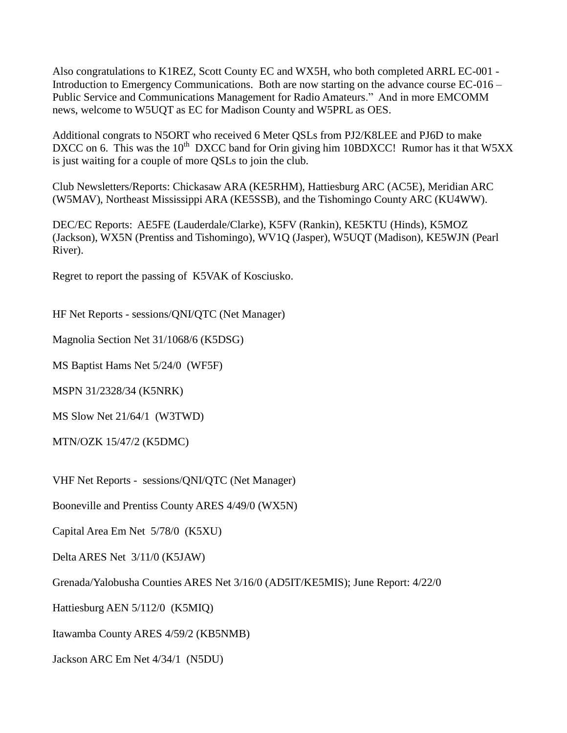Also congratulations to K1REZ, Scott County EC and WX5H, who both completed ARRL EC-001 - Introduction to Emergency Communications. Both are now starting on the advance course EC-016 – Public Service and Communications Management for Radio Amateurs." And in more EMCOMM news, welcome to W5UQT as EC for Madison County and W5PRL as OES.

Additional congrats to N5ORT who received 6 Meter QSLs from PJ2/K8LEE and PJ6D to make DXCC on 6. This was the 10<sup>th</sup> DXCC band for Orin giving him 10BDXCC! Rumor has it that W5XX is just waiting for a couple of more QSLs to join the club.

Club Newsletters/Reports: Chickasaw ARA (KE5RHM), Hattiesburg ARC (AC5E), Meridian ARC (W5MAV), Northeast Mississippi ARA (KE5SSB), and the Tishomingo County ARC (KU4WW).

DEC/EC Reports: AE5FE (Lauderdale/Clarke), K5FV (Rankin), KE5KTU (Hinds), K5MOZ (Jackson), WX5N (Prentiss and Tishomingo), WV1Q (Jasper), W5UQT (Madison), KE5WJN (Pearl River).

Regret to report the passing of K5VAK of Kosciusko.

HF Net Reports - sessions/QNI/QTC (Net Manager)

Magnolia Section Net 31/1068/6 (K5DSG)

MS Baptist Hams Net 5/24/0 (WF5F)

MSPN 31/2328/34 (K5NRK)

MS Slow Net 21/64/1 (W3TWD)

MTN/OZK 15/47/2 (K5DMC)

VHF Net Reports - sessions/QNI/QTC (Net Manager)

Booneville and Prentiss County ARES 4/49/0 (WX5N)

Capital Area Em Net 5/78/0 (K5XU)

Delta ARES Net 3/11/0 (K5JAW)

Grenada/Yalobusha Counties ARES Net 3/16/0 (AD5IT/KE5MIS); June Report: 4/22/0

Hattiesburg AEN 5/112/0 (K5MIQ)

Itawamba County ARES 4/59/2 (KB5NMB)

Jackson ARC Em Net 4/34/1 (N5DU)